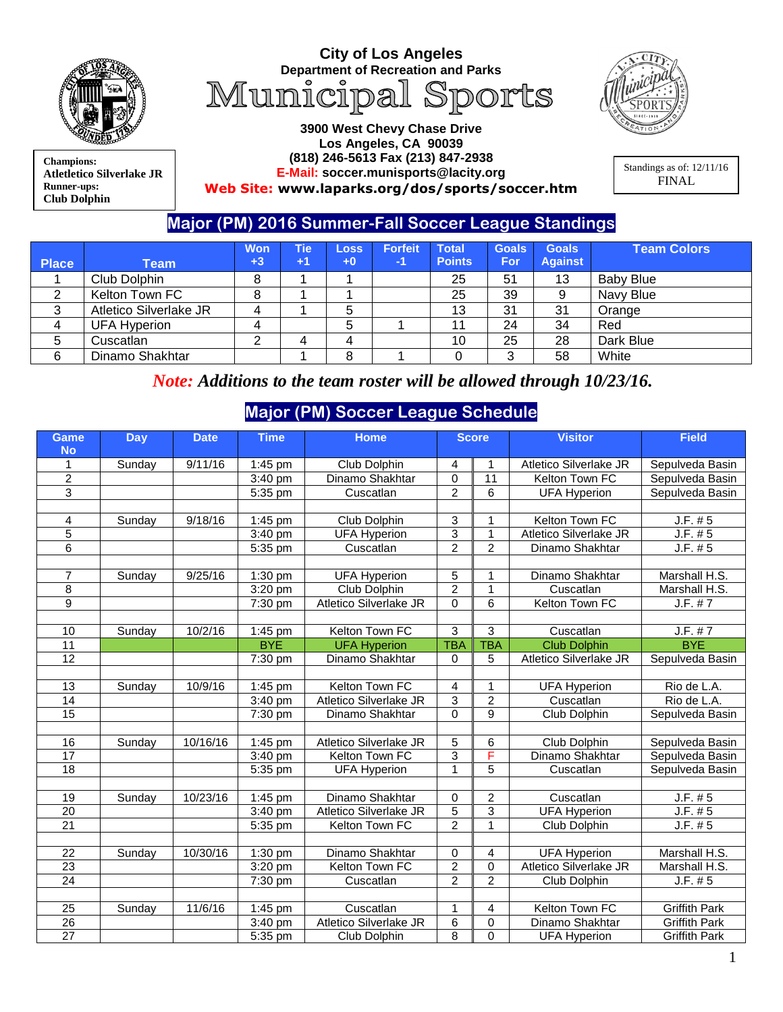

**Champions: Atletletico Silverlake JR Runner-ups: Club Dolphin**

## **City of Los Angeles Department of Recreation and Parks**<br>Municipal Sports



**3900 West Chevy Chase Drive Los Angeles, CA 90039 (818) 246-5613 Fax (213) 847-2938 E-Mail: soccer.munisports@lacity.org Web Site: [www.laparks.org/dos/sports/soccer.htm](http://www.laparks.org/dos/sports/soccer.htm)**

Standings as of: 12/11/16 FINAL

## **Major (PM) 2016 Summer-Fall Soccer League Standings**

| <b>Place</b> | Team                   | Won<br>$+3$ | Tie<br>$+1$ | <b>Loss</b><br>$+0$ | <b>Forfeit</b><br>$-1/$ | <b>Total</b><br><b>Points</b> | <b>Goals</b><br><b>For</b> | <b>Goals</b><br><b>Against</b> | <b>Team Colors</b> |
|--------------|------------------------|-------------|-------------|---------------------|-------------------------|-------------------------------|----------------------------|--------------------------------|--------------------|
|              |                        |             |             |                     |                         |                               |                            |                                |                    |
|              | Club Dolphin           |             |             |                     |                         | 25                            | 51                         | 13                             | <b>Baby Blue</b>   |
|              | Kelton Town FC         | 8           |             |                     |                         | 25                            | 39                         |                                | Navy Blue          |
|              | Atletico Silverlake JR |             |             | 5                   |                         | 13                            | 31                         | 31                             | Orange             |
| 4            | <b>UFA Hyperion</b>    | 4           |             | 5                   |                         | 11                            | 24                         | 34                             | Red                |
| 5            | Cuscatlan              |             |             |                     |                         | 10                            | 25                         | 28                             | Dark Blue          |
| 6            | Dinamo Shakhtar        |             |             | 8                   |                         |                               | 3                          | 58                             | White              |

*Note: Additions to the team roster will be allowed through 10/23/16.*

## **Major (PM) Soccer League Schedule**

| Game            | <b>Day</b> | <b>Date</b> | <b>Time</b>          | <b>Home</b>            | <b>Score</b>   |                | <b>Visitor</b>         | <b>Field</b>         |
|-----------------|------------|-------------|----------------------|------------------------|----------------|----------------|------------------------|----------------------|
| <b>No</b>       |            |             |                      |                        |                |                |                        |                      |
| 1               | Sunday     | 9/11/16     | 1:45 pm              | Club Dolphin           | 4              | 1              | Atletico Silverlake JR | Sepulveda Basin      |
| $\overline{2}$  |            |             | 3:40 pm              | Dinamo Shakhtar        | 0              | 11             | Kelton Town FC         | Sepulveda Basin      |
| 3               |            |             | 5:35 pm              | Cuscatlan              | $\overline{c}$ | 6              | <b>UFA Hyperion</b>    | Sepulveda Basin      |
|                 |            |             |                      |                        |                |                |                        |                      |
| 4               | Sunday     | 9/18/16     | 1:45 pm              | Club Dolphin           | 3              | 1              | Kelton Town FC         | J.F. #5              |
| $\overline{5}$  |            |             | 3:40 pm              | <b>UFA Hyperion</b>    | 3              | 1              | Atletico Silverlake JR | J.F. #5              |
| $\overline{6}$  |            |             | 5:35 pm              | Cuscatlan              | $\overline{2}$ | $\overline{2}$ | Dinamo Shakhtar        | J.F. # 5             |
|                 |            |             |                      |                        |                |                |                        |                      |
| 7               | Sunday     | 9/25/16     | 1:30 pm              | <b>UFA Hyperion</b>    | 5              | 1              | Dinamo Shakhtar        | Marshall H.S.        |
| 8               |            |             | 3:20 pm              | Club Dolphin           | $\overline{2}$ | 1              | Cuscatlan              | Marshall H.S.        |
| $\overline{9}$  |            |             | 7:30 pm              | Atletico Silverlake JR | $\mathbf 0$    | 6              | Kelton Town FC         | J.F. # 7             |
|                 |            |             |                      |                        |                |                |                        |                      |
| 10              | Sunday     | 10/2/16     | $\overline{1:}45$ pm | Kelton Town FC         | 3              | 3              | Cuscatlan              | J.F. # 7             |
| 11              |            |             | <b>BYE</b>           | <b>UFA Hyperion</b>    | <b>TBA</b>     | <b>TBA</b>     | <b>Club Dolphin</b>    | <b>BYE</b>           |
| 12              |            |             | 7:30 pm              | Dinamo Shakhtar        | 0              | 5              | Atletico Silverlake JR | Sepulveda Basin      |
|                 |            |             |                      |                        |                |                |                        |                      |
| 13              | Sunday     | 10/9/16     | 1:45 pm              | Kelton Town FC         | 4              | 1              | <b>UFA Hyperion</b>    | Rio de L.A.          |
| $\overline{14}$ |            |             | 3:40 pm              | Atletico Silverlake JR | $\overline{3}$ | $\overline{c}$ | Cuscatlan              | Rio de L.A.          |
| $\overline{15}$ |            |             | 7:30 pm              | Dinamo Shakhtar        | $\mathbf 0$    | 9              | Club Dolphin           | Sepulveda Basin      |
|                 |            |             |                      |                        |                |                |                        |                      |
| 16              | Sunday     | 10/16/16    | $1:45$ pm            | Atletico Silverlake JR | 5              | 6              | Club Dolphin           | Sepulveda Basin      |
| 17              |            |             | 3:40 pm              | Kelton Town FC         | $\overline{3}$ | F              | Dinamo Shakhtar        | Sepulveda Basin      |
| $\overline{18}$ |            |             | 5:35 pm              | <b>UFA Hyperion</b>    | $\mathbf{1}$   | 5              | Cuscatlan              | Sepulveda Basin      |
|                 |            |             |                      |                        |                |                |                        |                      |
| 19              | Sunday     | 10/23/16    | 1:45 pm              | Dinamo Shakhtar        | 0              | $\overline{c}$ | Cuscatlan              | J.F. # 5             |
| 20              |            |             | 3:40 pm              | Atletico Silverlake JR | $\overline{5}$ | 3              | <b>UFA Hyperion</b>    | J.F. # 5             |
| $\overline{21}$ |            |             | 5:35 pm              | Kelton Town FC         | $\overline{2}$ | 1              | Club Dolphin           | J.F. # 5             |
|                 |            |             |                      |                        |                |                |                        |                      |
| 22              | Sunday     | 10/30/16    | 1:30 pm              | Dinamo Shakhtar        | 0              | 4              | <b>UFA Hyperion</b>    | Marshall H.S.        |
| $\overline{23}$ |            |             | 3:20 pm              | Kelton Town FC         | $\overline{2}$ | $\mathbf 0$    | Atletico Silverlake JR | Marshall H.S.        |
| 24              |            |             | 7:30 pm              | Cuscatlan              | $\overline{2}$ | $\overline{c}$ | Club Dolphin           | J.F. # 5             |
|                 |            |             |                      |                        |                |                |                        |                      |
| 25              | Sunday     | 11/6/16     | 1:45 pm              | Cuscatlan              | $\mathbf{1}$   | 4              | Kelton Town FC         | <b>Griffith Park</b> |
| $\overline{26}$ |            |             | 3:40 pm              | Atletico Silverlake JR | $\overline{6}$ | $\pmb{0}$      | Dinamo Shakhtar        | <b>Griffith Park</b> |
| $\overline{27}$ |            |             | 5:35 pm              | Club Dolphin           | $\overline{8}$ | 0              | <b>UFA Hyperion</b>    | <b>Griffith Park</b> |